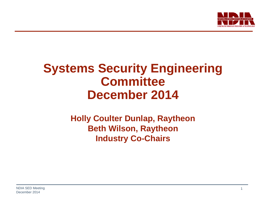

# **Systems Security Engineering Committee December 2014**

### **Holly Coulter Dunlap, Raytheon Beth Wilson, Raytheon Industry Co-Chairs**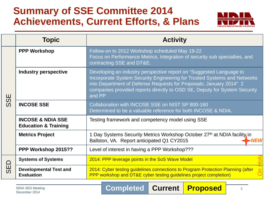## **Summary of SSE Committee 2014 Achievements, Current Efforts, & Plans**



|                                        | <b>Topic</b>                                                    | <b>Activity</b>                                                                                                                                                                                                                                                                                              |
|----------------------------------------|-----------------------------------------------------------------|--------------------------------------------------------------------------------------------------------------------------------------------------------------------------------------------------------------------------------------------------------------------------------------------------------------|
| ш<br>$\boldsymbol{\omega}$<br>$\Omega$ | <b>PPP Workshop</b>                                             | Follow-on to 2012 Workshop scheduled May 19-22<br>Focus on Performance Metrics, Integration of security sub specialties, and<br>contracting SSE and DT&E.                                                                                                                                                    |
|                                        | <b>Industry perspective</b>                                     | Developing an industry perspective report on "Suggested Language to<br>Incorporate System Security Engineering for Trusted Systems and Networks<br>into Department of Defense Requests for Proposals; January 2014" 2<br>companies provided reports directly to OSD SE, Deputy for System Security<br>and PP |
|                                        | <b>INCOSE SSE</b>                                               | Collaboration with INCOSE SSE on NIST SP 800-160<br>Determined to be a valuable reference for both INCOSE & NDIA.                                                                                                                                                                                            |
|                                        | <b>INCOSE &amp; NDIA SSE</b><br><b>Education &amp; Training</b> | Testing framework and competency model using SSE                                                                                                                                                                                                                                                             |
|                                        | <b>Metrics Project</b>                                          | 1 Day Systems Security Metrics Workshop October 27th at NDIA facility in<br>Ballston, VA. Report anticipated Q1 CY2015<br>NEW                                                                                                                                                                                |
|                                        | PPP Workshop 2015??                                             | Level of interest in having a PPP Workshop???                                                                                                                                                                                                                                                                |
| $\Box$<br>Ш                            | <b>Systems of Systems</b>                                       | 2014: PPP leverage points in the SoS Wave Model                                                                                                                                                                                                                                                              |
|                                        | <b>Developmental Test and</b><br><b>Evaluation</b>              | 2014: Cyber testing guidelines connections to Program Protection Planning (after<br>PPP workshop and DT&E cyber testing guidelines project completion)                                                                                                                                                       |

**Completed Current Proposed**

NDIA SED Meeting December 2014